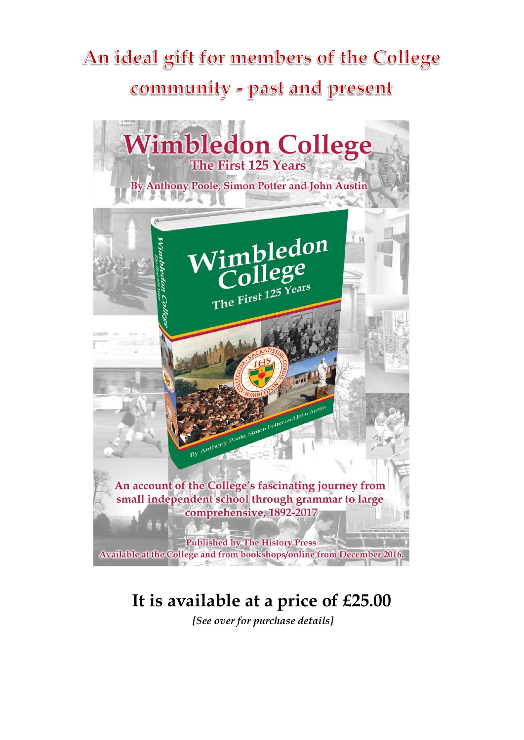## An ideal gift for members of the College community - past and present



## **It is available at a price of £25.00**

*[See over for purchase details]*